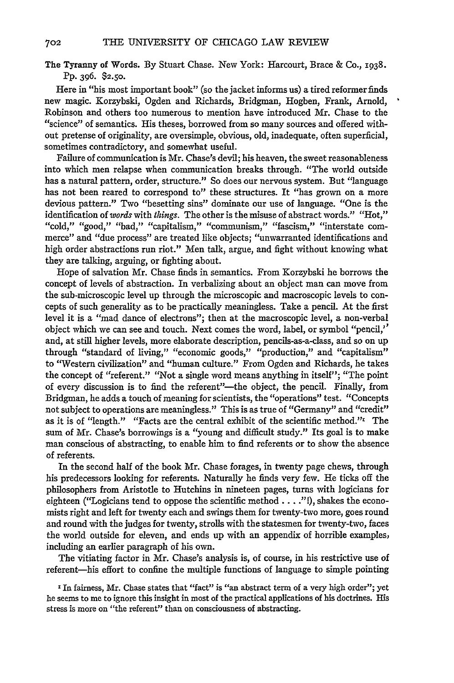$702$ 

The Tyranny of Words. By Stuart Chase. New York: Harcourt, Brace & Co., **1938.** PP. 396. **\$2.50.**

Here in "his most important book" (so the jacket informs us) a tired reformer finds new magic. Korzybski, Ogden and Richards, Bridgman, Hogben, Frank, Arnold, Robinson and others too numerous to mention have introduced Mr. Chase to the "science" of semantics. His theses, borrowed from so many sources and offered without pretense of originality, are oversimple, obvious, old, inadequate, often superficial, sometimes contradictory, and somewhat useful.

Failure of communication is Mr. Chase's devil; his heaven, the sweet reasonableness into which men relapse when communication breaks through. "The world outside has a natural pattern, order, structure." So does our nervous system. But "language has not been reared to correspond to" these structures. It "has grown on a more devious pattern." Two "besetting sins" dominate our use of language. "One is the identification of *words* with *things*. The other is the misuse of abstract words." "Hot," "cold," "good," "bad," "capitalism," "communism," "fascism," "interstate commerce" and "due process" are treated like objects; "unwarranted identifications and high order abstractions run riot." Men talk, argue, and fight without knowing what they are talking, arguing, or fighting about.

Hope of salvation Mr. Chase finds in semantics. From Korzybski he borrows the concept of levels of abstraction. In verbalizing about an object man can move from the sub-microscopic level up through the microscopic and macroscopic levels to concepts of such generality as to be practically meaningless. Take a pencil. At the first level it is a "mad dance of electrons"; then at the macroscopic level, a non-verbal object which we can see and touch. Next comes the word, label, or symbol "pencil," and, at still higher levels, more elaborate description, pencils-as-a-class, and so on up through "standard of living," "economic goods," "production," and "capitalism" to "Western civilization" and "human culture." From Ogden and Richards, he takes the concept of "referent." "Not a single word means anything in itself"; "The point of every discussion is to find the referent"-the object, the pencil. Finally, from Bridgman, he adds a touch of meaning for scientists, the "operations" test. "Concepts not subject to operations are meaningless." This is as true of "Germany" and "credit" as it is of "length." "Facts are the central exhibit of the scientific method."<sup>1</sup> The sum of Mr. Chase's borrowings is a "young and difficult study." Its goal is to make man conscious of abstracting, to enable him to find referents or to show the absence of referents.

In the second half of the book Mr. Chase forages, in twenty page chews, through his predecessors looking for referents. Naturally he finds very few. He ticks off the philosophers from Aristotle to Hutchins in nineteen pages, turns with logicians for eighteen ("Logicians tend to oppose the scientific method. . . **."!),** shakes the economists right and left for twenty each and swings them for twenty-two more, goes round and round with the judges for twenty, strolls with the statesmen for twenty-two, faces the world outside for eleven, and ends up with an appendix of horrible examples, including an earlier paragraph of his own.

The vitiating factor in Mr. Chase's analysis is, of course, in his restrictive use of referent-his effort to confine the multiple functions of language to simple pointing

<sup>1</sup> In fairness, Mr. Chase states that "fact" is "an abstract term of a very high order"; yet he seems to me to ignore this insight in most of the practical applications of his doctrines. His stress is more on "the referent" than on consciousness of abstracting.